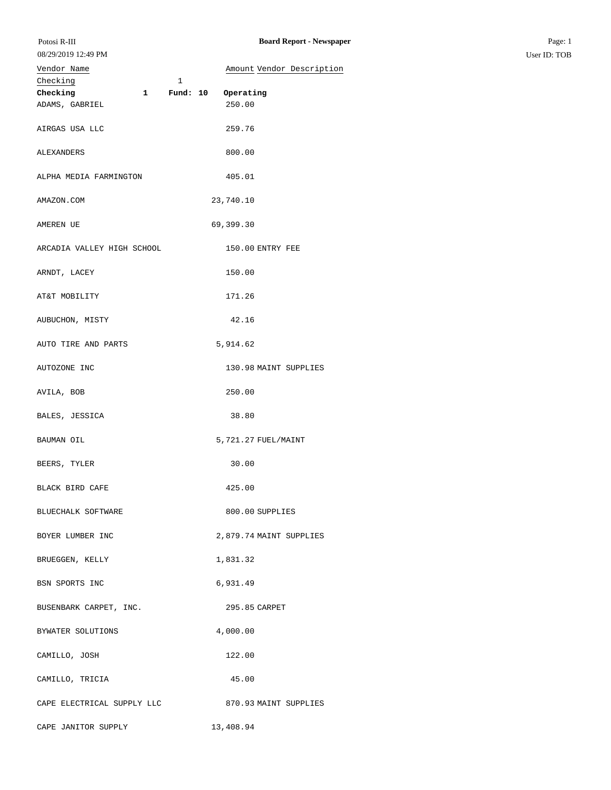## Vendor Name **Amount** Vendor Description

| Checking                   |              | 1 |                         |                       |
|----------------------------|--------------|---|-------------------------|-----------------------|
| Checking                   | $\mathbf{1}$ |   | Fund: 10 Operating      |                       |
| ADAMS, GABRIEL             |              |   | 250.00                  |                       |
| AIRGAS USA LLC             |              |   | 259.76                  |                       |
| ALEXANDERS                 |              |   | 800.00                  |                       |
| ALPHA MEDIA FARMINGTON     |              |   | 405.01                  |                       |
| AMAZON.COM                 |              |   | 23,740.10               |                       |
| AMEREN UE                  |              |   | 69,399.30               |                       |
| ARCADIA VALLEY HIGH SCHOOL |              |   | 150.00 ENTRY FEE        |                       |
| ARNDT, LACEY               |              |   | 150.00                  |                       |
| AT&T MOBILITY              |              |   | 171.26                  |                       |
| AUBUCHON, MISTY            |              |   | 42.16                   |                       |
| AUTO TIRE AND PARTS        |              |   | 5,914.62                |                       |
| AUTOZONE INC               |              |   |                         | 130.98 MAINT SUPPLIES |
| AVILA, BOB                 |              |   | 250.00                  |                       |
| BALES, JESSICA             |              |   | 38.80                   |                       |
| BAUMAN OIL                 |              |   | 5,721.27 FUEL/MAINT     |                       |
| BEERS, TYLER               |              |   | 30.00                   |                       |
| BLACK BIRD CAFE            |              |   | 425.00                  |                       |
| BLUECHALK SOFTWARE         |              |   | 800.00 SUPPLIES         |                       |
| BOYER LUMBER INC           |              |   | 2,879.74 MAINT SUPPLIES |                       |
| BRUEGGEN, KELLY            |              |   | 1,831.32                |                       |
| BSN SPORTS INC             |              |   | 6,931.49                |                       |
| BUSENBARK CARPET, INC.     |              |   | 295.85 CARPET           |                       |
| BYWATER SOLUTIONS          |              |   | 4,000.00                |                       |
| CAMILLO, JOSH              |              |   | 122.00                  |                       |
| CAMILLO, TRICIA            |              |   | 45.00                   |                       |
| CAPE ELECTRICAL SUPPLY LLC |              |   |                         | 870.93 MAINT SUPPLIES |
| CAPE JANITOR SUPPLY        |              |   | 13,408.94               |                       |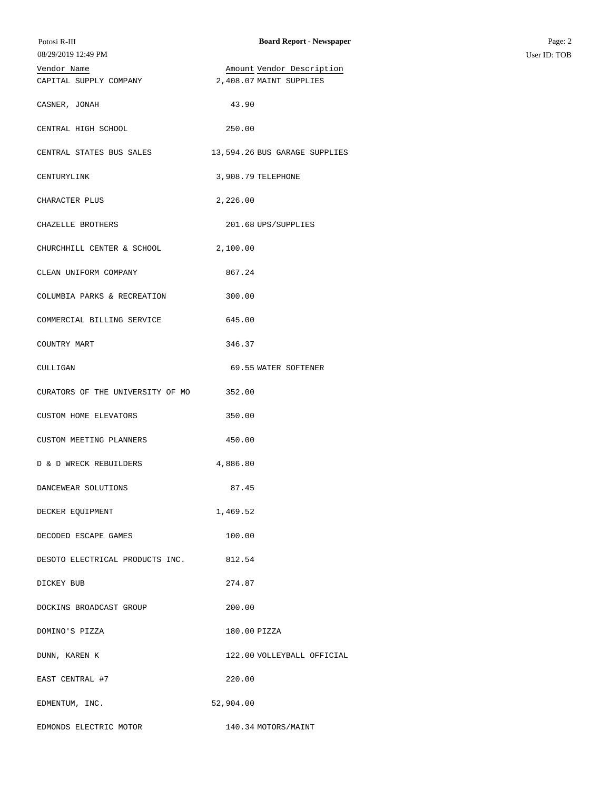| Potosi R-III<br>08/29/2019 12:49 PM | <b>Board Report - Newspaper</b> | Page: 2<br>User ID: TOB |
|-------------------------------------|---------------------------------|-------------------------|
| Vendor Name                         | Amount Vendor Description       |                         |
| CAPITAL SUPPLY COMPANY              | 2,408.07 MAINT SUPPLIES         |                         |
| CASNER, JONAH                       | 43.90                           |                         |
| CENTRAL HIGH SCHOOL                 | 250.00                          |                         |
| CENTRAL STATES BUS SALES            | 13,594.26 BUS GARAGE SUPPLIES   |                         |
| CENTURYLINK                         | 3,908.79 TELEPHONE              |                         |
| CHARACTER PLUS                      | 2,226.00                        |                         |
| CHAZELLE BROTHERS                   | 201.68 UPS/SUPPLIES             |                         |
| CHURCHHILL CENTER & SCHOOL          | 2,100.00                        |                         |
| CLEAN UNIFORM COMPANY               | 867.24                          |                         |
| COLUMBIA PARKS & RECREATION         | 300.00                          |                         |
| COMMERCIAL BILLING SERVICE          | 645.00                          |                         |
| COUNTRY MART                        | 346.37                          |                         |
| CULLIGAN                            | 69.55 WATER SOFTENER            |                         |
| CURATORS OF THE UNIVERSITY OF MO    | 352.00                          |                         |
| CUSTOM HOME ELEVATORS               | 350.00                          |                         |
| CUSTOM MEETING PLANNERS             | 450.00                          |                         |
| D & D WRECK REBUILDERS              | 4,886.80                        |                         |
| DANCEWEAR SOLUTIONS                 | 87.45                           |                         |
| DECKER EQUIPMENT                    | 1,469.52                        |                         |
| DECODED ESCAPE GAMES                | 100.00                          |                         |
| DESOTO ELECTRICAL PRODUCTS INC.     | 812.54                          |                         |
| DICKEY BUB                          | 274.87                          |                         |
| DOCKINS BROADCAST GROUP             | 200.00                          |                         |
| DOMINO'S PIZZA                      | 180.00 PIZZA                    |                         |
| DUNN, KAREN K                       | 122.00 VOLLEYBALL OFFICIAL      |                         |
| EAST CENTRAL #7                     | 220.00                          |                         |
| EDMENTUM, INC.                      | 52,904.00                       |                         |
| EDMONDS ELECTRIC MOTOR              | 140.34 MOTORS/MAINT             |                         |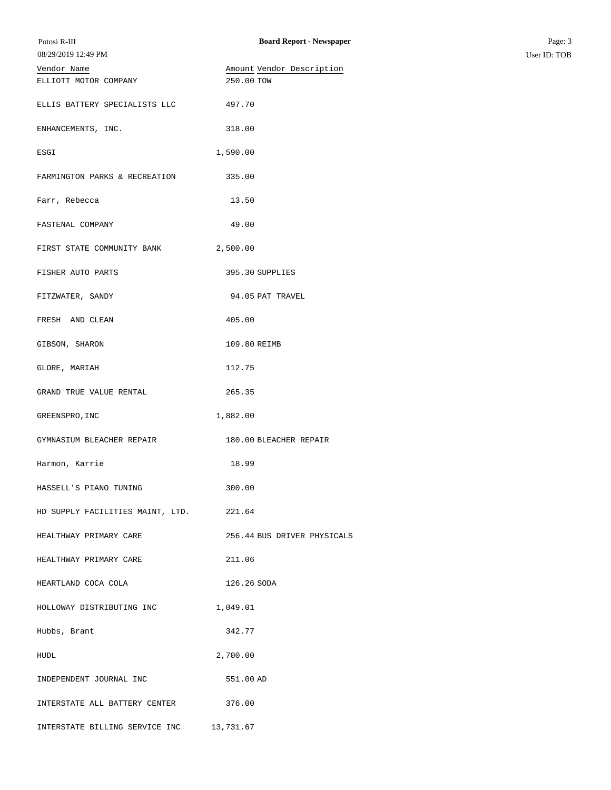| Potosi R-III                     | <b>Board Report - Newspaper</b> | Page: 3      |
|----------------------------------|---------------------------------|--------------|
| 08/29/2019 12:49 PM              |                                 | User ID: TOB |
| Vendor Name                      | Amount Vendor Description       |              |
| ELLIOTT MOTOR COMPANY            | 250.00 TOW                      |              |
| ELLIS BATTERY SPECIALISTS LLC    | 497.70                          |              |
| ENHANCEMENTS, INC.               | 318.00                          |              |
| ESGI                             | 1,590.00                        |              |
| FARMINGTON PARKS & RECREATION    | 335.00                          |              |
| Farr, Rebecca                    | 13.50                           |              |
| FASTENAL COMPANY                 | 49.00                           |              |
| FIRST STATE COMMUNITY BANK       | 2,500.00                        |              |
| FISHER AUTO PARTS                | 395.30 SUPPLIES                 |              |
| FITZWATER, SANDY                 | 94.05 PAT TRAVEL                |              |
| FRESH AND CLEAN                  | 405.00                          |              |
| GIBSON, SHARON                   | 109.80 REIMB                    |              |
| GLORE, MARIAH                    | 112.75                          |              |
| GRAND TRUE VALUE RENTAL          | 265.35                          |              |
| GREENSPRO, INC                   | 1,882.00                        |              |
| GYMNASIUM BLEACHER REPAIR        | 180.00 BLEACHER REPAIR          |              |
| Harmon, Karrie                   | 18.99                           |              |
| HASSELL'S PIANO TUNING           | 300.00                          |              |
| HD SUPPLY FACILITIES MAINT, LTD. | 221.64                          |              |
| HEALTHWAY PRIMARY CARE           | 256.44 BUS DRIVER PHYSICALS     |              |
| HEALTHWAY PRIMARY CARE           | 211.06                          |              |
| HEARTLAND COCA COLA              | 126.26 SODA                     |              |
| HOLLOWAY DISTRIBUTING INC        | 1,049.01                        |              |
| Hubbs, Brant                     | 342.77                          |              |
| HUDL                             | 2,700.00                        |              |
| INDEPENDENT JOURNAL INC          | 551.00 AD                       |              |
| INTERSTATE ALL BATTERY CENTER    | 376.00                          |              |
| INTERSTATE BILLING SERVICE INC   | 13,731.67                       |              |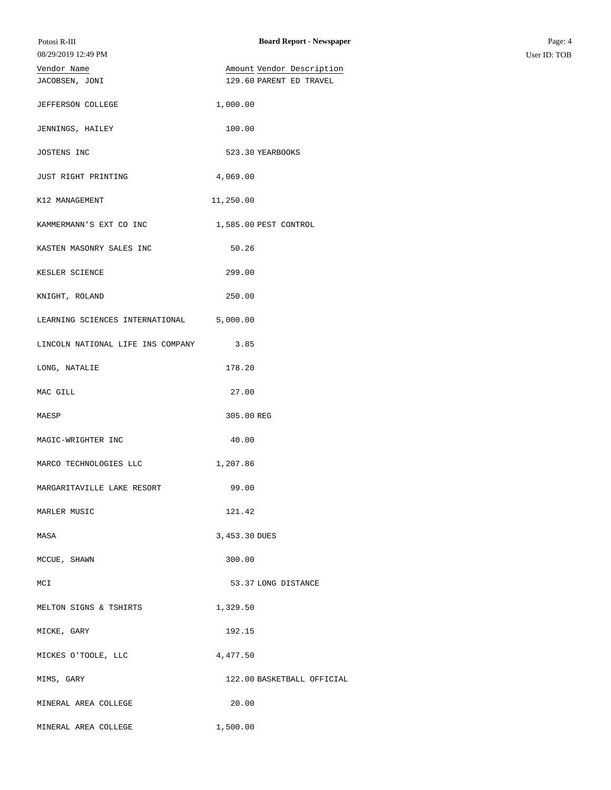| Potosi R-III                      | <b>Board Report - Newspaper</b> | Page: 4      |
|-----------------------------------|---------------------------------|--------------|
| 08/29/2019 12:49 PM               |                                 | User ID: TOB |
| Vendor Name                       | Amount Vendor Description       |              |
| JACOBSEN, JONI                    | 129.60 PARENT ED TRAVEL         |              |
| JEFFERSON COLLEGE                 | 1,000.00                        |              |
| JENNINGS, HAILEY                  | 100.00                          |              |
| JOSTENS INC                       | 523.30 YEARBOOKS                |              |
| JUST RIGHT PRINTING               | 4,069.00                        |              |
| K12 MANAGEMENT                    | 11,250.00                       |              |
| KAMMERMANN'S EXT CO INC           | 1,585.00 PEST CONTROL           |              |
| KASTEN MASONRY SALES INC          | 50.26                           |              |
| KESLER SCIENCE                    | 299.00                          |              |
| KNIGHT, ROLAND                    | 250.00                          |              |
| LEARNING SCIENCES INTERNATIONAL   | 5,000.00                        |              |
| LINCOLN NATIONAL LIFE INS COMPANY | 3.85                            |              |
| LONG, NATALIE                     | 178.20                          |              |
| MAC GILL                          | 27.00                           |              |
| MAESP                             | 305.00 REG                      |              |
| MAGIC-WRIGHTER INC                | 40.00                           |              |
| MARCO TECHNOLOGIES LLC            | 1,207.86                        |              |
| MARGARITAVILLE LAKE RESORT        | 99.00                           |              |
| MARLER MUSIC                      | 121.42                          |              |
| MASA                              | 3,453.30 DUES                   |              |
| MCCUE, SHAWN                      | 300.00                          |              |
| MCI                               | 53.37 LONG DISTANCE             |              |
| MELTON SIGNS & TSHIRTS            | 1,329.50                        |              |
| MICKE, GARY                       | 192.15                          |              |
| MICKES O'TOOLE, LLC               | 4,477.50                        |              |
| MIMS, GARY                        | 122.00 BASKETBALL OFFICIAL      |              |
| MINERAL AREA COLLEGE              | 20.00                           |              |
| MINERAL AREA COLLEGE              | 1,500.00                        |              |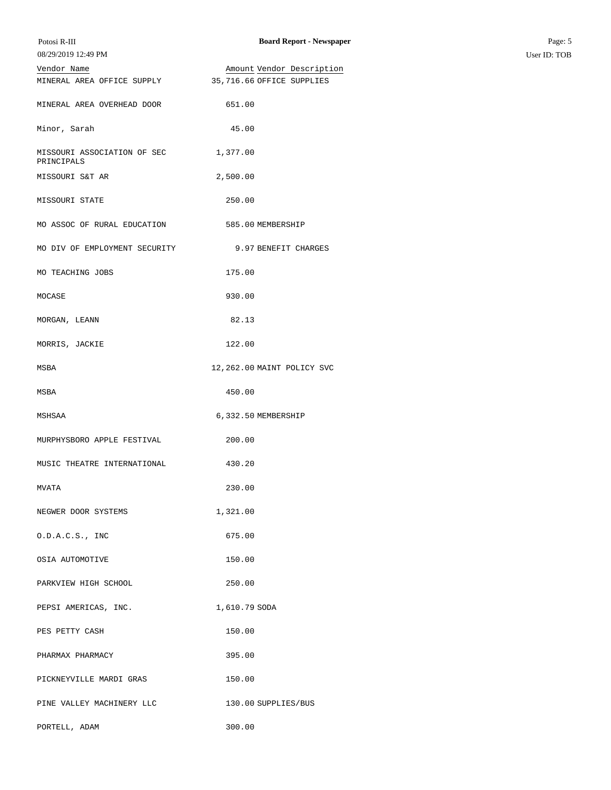| Potosi R-III                              | <b>Board Report - Newspaper</b> | Page: 5      |
|-------------------------------------------|---------------------------------|--------------|
| 08/29/2019 12:49 PM                       |                                 | User ID: TOB |
| Vendor Name                               | Amount Vendor Description       |              |
| MINERAL AREA OFFICE SUPPLY                | 35,716.66 OFFICE SUPPLIES       |              |
| MINERAL AREA OVERHEAD DOOR                | 651.00                          |              |
| Minor, Sarah                              | 45.00                           |              |
| MISSOURI ASSOCIATION OF SEC<br>PRINCIPALS | 1,377.00                        |              |
| MISSOURI S&T AR                           | 2,500.00                        |              |
| MISSOURI STATE                            | 250.00                          |              |
| MO ASSOC OF RURAL EDUCATION               | 585.00 MEMBERSHIP               |              |
| MO DIV OF EMPLOYMENT SECURITY             | 9.97 BENEFIT CHARGES            |              |
| MO TEACHING JOBS                          | 175.00                          |              |
| MOCASE                                    | 930.00                          |              |
| MORGAN, LEANN                             | 82.13                           |              |
| MORRIS, JACKIE                            | 122.00                          |              |
| MSBA                                      | 12,262.00 MAINT POLICY SVC      |              |
| MSBA                                      | 450.00                          |              |
| MSHSAA                                    | 6,332.50 MEMBERSHIP             |              |
| MURPHYSBORO APPLE FESTIVAL                | 200.00                          |              |
| MUSIC THEATRE INTERNATIONAL               | 430.20                          |              |
| MVATA                                     | 230.00                          |              |
| NEGWER DOOR SYSTEMS                       | 1,321.00                        |              |
| 0.D.A.C.S., INC                           | 675.00                          |              |
| OSIA AUTOMOTIVE                           | 150.00                          |              |
| PARKVIEW HIGH SCHOOL                      | 250.00                          |              |
| PEPSI AMERICAS, INC.                      | 1,610.79 SODA                   |              |
| PES PETTY CASH                            | 150.00                          |              |
| PHARMAX PHARMACY                          | 395.00                          |              |
| PICKNEYVILLE MARDI GRAS                   | 150.00                          |              |
| PINE VALLEY MACHINERY LLC                 | 130.00 SUPPLIES/BUS             |              |
| PORTELL, ADAM                             | 300.00                          |              |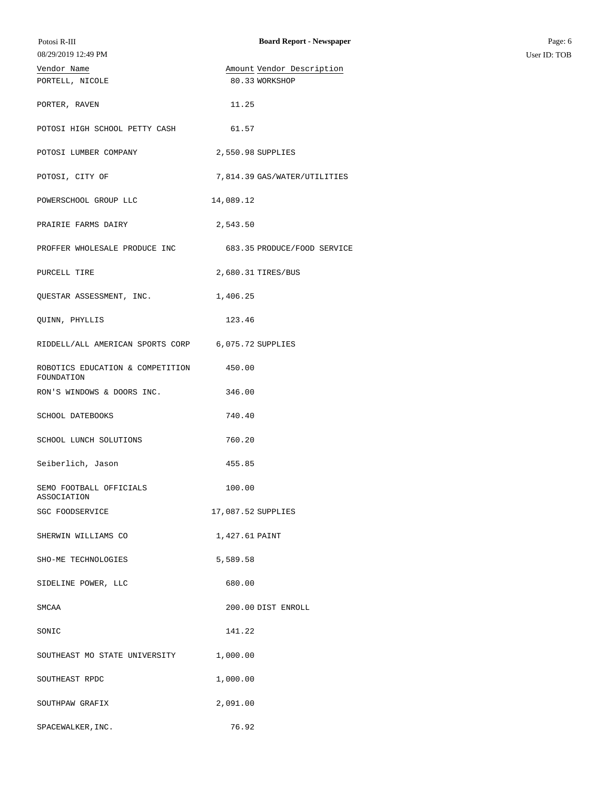| Potosi R-III                                   | <b>Board Report - Newspaper</b> | Page: 6      |
|------------------------------------------------|---------------------------------|--------------|
| 08/29/2019 12:49 PM                            |                                 | User ID: TOB |
| Vendor Name                                    | Amount Vendor Description       |              |
| PORTELL, NICOLE                                | 80.33 WORKSHOP                  |              |
|                                                |                                 |              |
| PORTER, RAVEN                                  | 11.25                           |              |
| POTOSI HIGH SCHOOL PETTY CASH                  | 61.57                           |              |
| POTOSI LUMBER COMPANY                          | 2,550.98 SUPPLIES               |              |
| POTOSI, CITY OF                                | 7,814.39 GAS/WATER/UTILITIES    |              |
| POWERSCHOOL GROUP LLC                          | 14,089.12                       |              |
| PRAIRIE FARMS DAIRY                            | 2,543.50                        |              |
| PROFFER WHOLESALE PRODUCE INC                  | 683.35 PRODUCE/FOOD SERVICE     |              |
| PURCELL TIRE                                   | 2,680.31 TIRES/BUS              |              |
| QUESTAR ASSESSMENT, INC.                       | 1,406.25                        |              |
| QUINN, PHYLLIS                                 | 123.46                          |              |
| RIDDELL/ALL AMERICAN SPORTS CORP               | 6,075.72 SUPPLIES               |              |
| ROBOTICS EDUCATION & COMPETITION<br>FOUNDATION | 450.00                          |              |
| RON'S WINDOWS & DOORS INC.                     | 346.00                          |              |
| SCHOOL DATEBOOKS                               | 740.40                          |              |
| SCHOOL LUNCH SOLUTIONS                         | 760.20                          |              |
| Seiberlich, Jason                              | 455.85                          |              |
| SEMO FOOTBALL OFFICIALS<br>ASSOCIATION         | 100.00                          |              |
| SGC FOODSERVICE                                | 17,087.52 SUPPLIES              |              |
| SHERWIN WILLIAMS CO                            | 1,427.61 PAINT                  |              |
| SHO-ME TECHNOLOGIES                            | 5,589.58                        |              |
| SIDELINE POWER, LLC                            | 680.00                          |              |
| SMCAA                                          | 200.00 DIST ENROLL              |              |
| SONIC                                          | 141.22                          |              |
| SOUTHEAST MO STATE UNIVERSITY                  | 1,000.00                        |              |
| SOUTHEAST RPDC                                 | 1,000.00                        |              |
| SOUTHPAW GRAFIX                                | 2,091.00                        |              |
| SPACEWALKER, INC.                              | 76.92                           |              |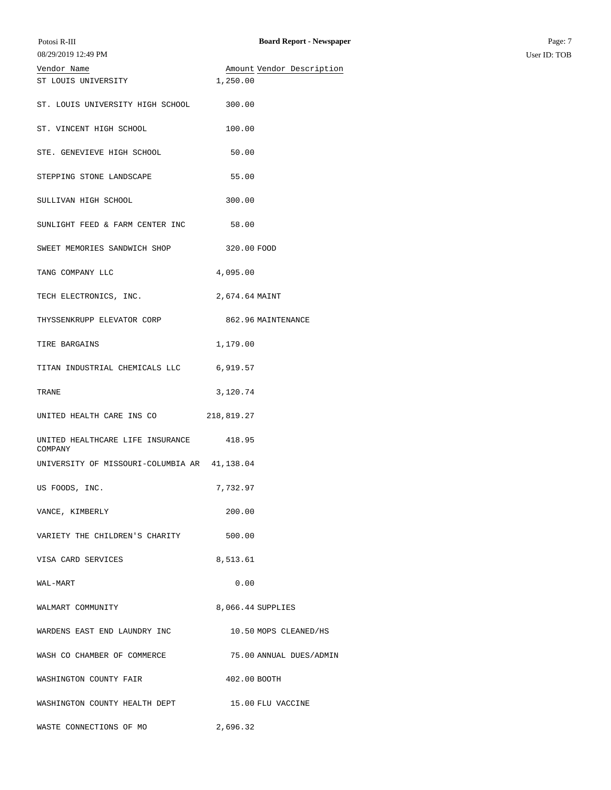| Vendor Name                                  | Amount Vendor Description |
|----------------------------------------------|---------------------------|
| ST LOUIS UNIVERSITY                          | 1,250.00                  |
| ST. LOUIS UNIVERSITY HIGH SCHOOL             | 300.00                    |
| ST. VINCENT HIGH SCHOOL                      | 100.00                    |
| STE. GENEVIEVE HIGH SCHOOL                   | 50.00                     |
| STEPPING STONE LANDSCAPE                     | 55.00                     |
| SULLIVAN HIGH SCHOOL                         | 300.00                    |
| SUNLIGHT FEED & FARM CENTER INC              | 58.00                     |
| SWEET MEMORIES SANDWICH SHOP                 | 320.00 FOOD               |
| TANG COMPANY LLC                             | 4,095.00                  |
| TECH ELECTRONICS, INC.                       | 2,674.64 MAINT            |
| THYSSENKRUPP ELEVATOR CORP                   | 862.96 MAINTENANCE        |
| TIRE BARGAINS                                | 1,179.00                  |
| TITAN INDUSTRIAL CHEMICALS LLC               | 6,919.57                  |
| TRANE                                        | 3,120.74                  |
| UNITED HEALTH CARE INS CO                    | 218,819.27                |
| UNITED HEALTHCARE LIFE INSURANCE<br>COMPANY  | 418.95                    |
| UNIVERSITY OF MISSOURI-COLUMBIA AR 41,138.04 |                           |
| US FOODS, INC.                               | 7,732.97                  |
| VANCE, KIMBERLY                              | 200.00                    |
| VARIETY THE CHILDREN'S CHARITY               | 500.00                    |
| VISA CARD SERVICES                           | 8,513.61                  |
| WAL-MART                                     | 0.00                      |
| WALMART COMMUNITY                            | 8,066.44 SUPPLIES         |
| WARDENS EAST END LAUNDRY INC                 | 10.50 MOPS CLEANED/HS     |
| WASH CO CHAMBER OF COMMERCE                  | 75.00 ANNUAL DUES/ADMIN   |
| WASHINGTON COUNTY FAIR                       | 402.00 BOOTH              |
| WASHINGTON COUNTY HEALTH DEPT                | 15.00 FLU VACCINE         |
| WASTE CONNECTIONS OF MO                      | 2,696.32                  |